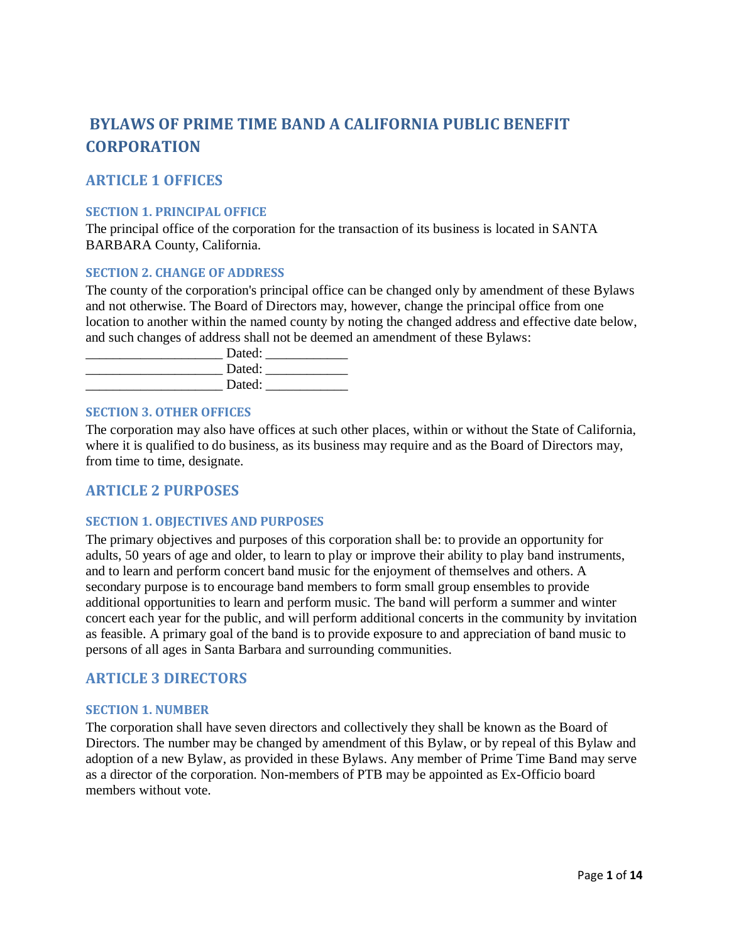# **BYLAWS OF PRIME TIME BAND A CALIFORNIA PUBLIC BENEFIT CORPORATION**

# **ARTICLE 1 OFFICES**

### **SECTION 1. PRINCIPAL OFFICE**

The principal office of the corporation for the transaction of its business is located in SANTA BARBARA County, California.

### **SECTION 2. CHANGE OF ADDRESS**

The county of the corporation's principal office can be changed only by amendment of these Bylaws and not otherwise. The Board of Directors may, however, change the principal office from one location to another within the named county by noting the changed address and effective date below, and such changes of address shall not be deemed an amendment of these Bylaws:

| Dated: |
|--------|
| Dated: |
| Dated: |

### **SECTION 3. OTHER OFFICES**

The corporation may also have offices at such other places, within or without the State of California, where it is qualified to do business, as its business may require and as the Board of Directors may, from time to time, designate.

## **ARTICLE 2 PURPOSES**

### **SECTION 1. OBJECTIVES AND PURPOSES**

The primary objectives and purposes of this corporation shall be: to provide an opportunity for adults, 50 years of age and older, to learn to play or improve their ability to play band instruments, and to learn and perform concert band music for the enjoyment of themselves and others. A secondary purpose is to encourage band members to form small group ensembles to provide additional opportunities to learn and perform music. The band will perform a summer and winter concert each year for the public, and will perform additional concerts in the community by invitation as feasible. A primary goal of the band is to provide exposure to and appreciation of band music to persons of all ages in Santa Barbara and surrounding communities.

## **ARTICLE 3 DIRECTORS**

### **SECTION 1. NUMBER**

The corporation shall have seven directors and collectively they shall be known as the Board of Directors. The number may be changed by amendment of this Bylaw, or by repeal of this Bylaw and adoption of a new Bylaw, as provided in these Bylaws. Any member of Prime Time Band may serve as a director of the corporation. Non-members of PTB may be appointed as Ex-Officio board members without vote.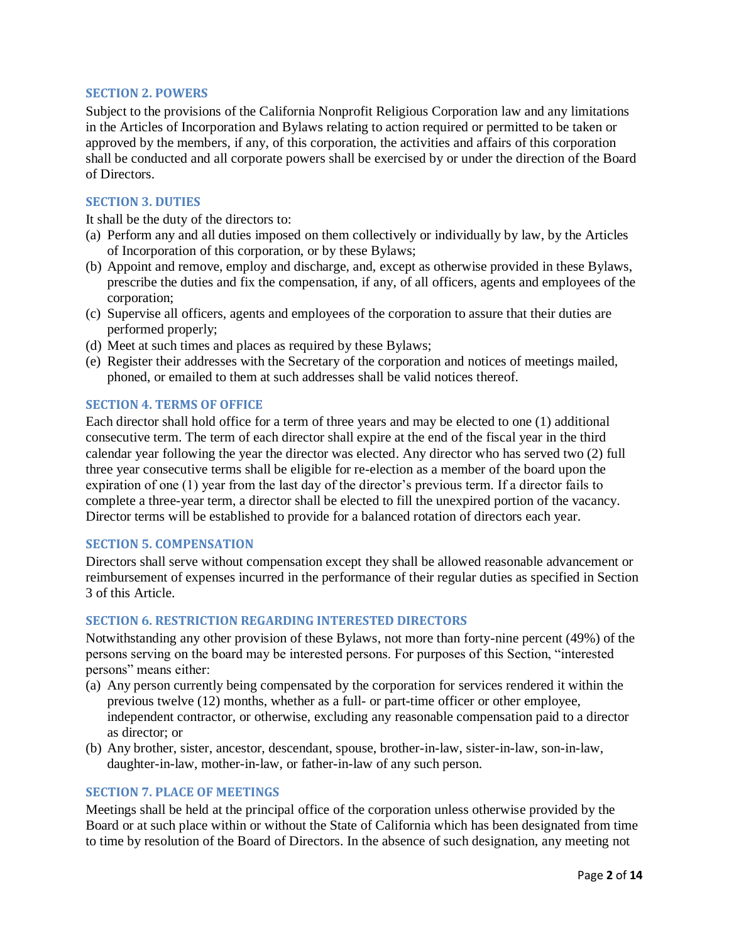### **SECTION 2. POWERS**

Subject to the provisions of the California Nonprofit Religious Corporation law and any limitations in the Articles of Incorporation and Bylaws relating to action required or permitted to be taken or approved by the members, if any, of this corporation, the activities and affairs of this corporation shall be conducted and all corporate powers shall be exercised by or under the direction of the Board of Directors.

### **SECTION 3. DUTIES**

It shall be the duty of the directors to:

- (a) Perform any and all duties imposed on them collectively or individually by law, by the Articles of Incorporation of this corporation, or by these Bylaws;
- (b) Appoint and remove, employ and discharge, and, except as otherwise provided in these Bylaws, prescribe the duties and fix the compensation, if any, of all officers, agents and employees of the corporation;
- (c) Supervise all officers, agents and employees of the corporation to assure that their duties are performed properly;
- (d) Meet at such times and places as required by these Bylaws;
- (e) Register their addresses with the Secretary of the corporation and notices of meetings mailed, phoned, or emailed to them at such addresses shall be valid notices thereof.

### **SECTION 4. TERMS OF OFFICE**

Each director shall hold office for a term of three years and may be elected to one (1) additional consecutive term. The term of each director shall expire at the end of the fiscal year in the third calendar year following the year the director was elected. Any director who has served two (2) full three year consecutive terms shall be eligible for re-election as a member of the board upon the expiration of one (1) year from the last day of the director's previous term. If a director fails to complete a three-year term, a director shall be elected to fill the unexpired portion of the vacancy. Director terms will be established to provide for a balanced rotation of directors each year.

### **SECTION 5. COMPENSATION**

Directors shall serve without compensation except they shall be allowed reasonable advancement or reimbursement of expenses incurred in the performance of their regular duties as specified in Section 3 of this Article.

### **SECTION 6. RESTRICTION REGARDING INTERESTED DIRECTORS**

Notwithstanding any other provision of these Bylaws, not more than forty-nine percent (49%) of the persons serving on the board may be interested persons. For purposes of this Section, "interested persons" means either:

- (a) Any person currently being compensated by the corporation for services rendered it within the previous twelve (12) months, whether as a full- or part-time officer or other employee, independent contractor, or otherwise, excluding any reasonable compensation paid to a director as director; or
- (b) Any brother, sister, ancestor, descendant, spouse, brother-in-law, sister-in-law, son-in-law, daughter-in-law, mother-in-law, or father-in-law of any such person.

### **SECTION 7. PLACE OF MEETINGS**

Meetings shall be held at the principal office of the corporation unless otherwise provided by the Board or at such place within or without the State of California which has been designated from time to time by resolution of the Board of Directors. In the absence of such designation, any meeting not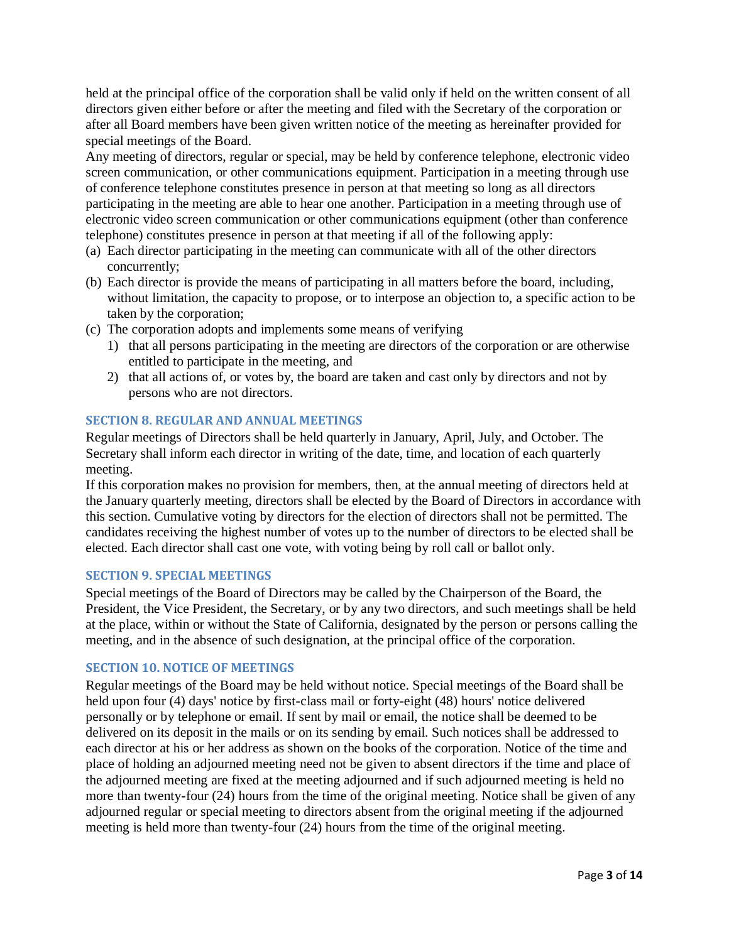held at the principal office of the corporation shall be valid only if held on the written consent of all directors given either before or after the meeting and filed with the Secretary of the corporation or after all Board members have been given written notice of the meeting as hereinafter provided for special meetings of the Board.

Any meeting of directors, regular or special, may be held by conference telephone, electronic video screen communication, or other communications equipment. Participation in a meeting through use of conference telephone constitutes presence in person at that meeting so long as all directors participating in the meeting are able to hear one another. Participation in a meeting through use of electronic video screen communication or other communications equipment (other than conference telephone) constitutes presence in person at that meeting if all of the following apply:

- (a) Each director participating in the meeting can communicate with all of the other directors concurrently;
- (b) Each director is provide the means of participating in all matters before the board, including, without limitation, the capacity to propose, or to interpose an objection to, a specific action to be taken by the corporation;
- (c) The corporation adopts and implements some means of verifying
	- 1) that all persons participating in the meeting are directors of the corporation or are otherwise entitled to participate in the meeting, and
	- 2) that all actions of, or votes by, the board are taken and cast only by directors and not by persons who are not directors.

### **SECTION 8. REGULAR AND ANNUAL MEETINGS**

Regular meetings of Directors shall be held quarterly in January, April, July, and October. The Secretary shall inform each director in writing of the date, time, and location of each quarterly meeting.

If this corporation makes no provision for members, then, at the annual meeting of directors held at the January quarterly meeting, directors shall be elected by the Board of Directors in accordance with this section. Cumulative voting by directors for the election of directors shall not be permitted. The candidates receiving the highest number of votes up to the number of directors to be elected shall be elected. Each director shall cast one vote, with voting being by roll call or ballot only.

#### **SECTION 9. SPECIAL MEETINGS**

Special meetings of the Board of Directors may be called by the Chairperson of the Board, the President, the Vice President, the Secretary, or by any two directors, and such meetings shall be held at the place, within or without the State of California, designated by the person or persons calling the meeting, and in the absence of such designation, at the principal office of the corporation.

#### **SECTION 10. NOTICE OF MEETINGS**

Regular meetings of the Board may be held without notice. Special meetings of the Board shall be held upon four (4) days' notice by first-class mail or forty-eight (48) hours' notice delivered personally or by telephone or email. If sent by mail or email, the notice shall be deemed to be delivered on its deposit in the mails or on its sending by email. Such notices shall be addressed to each director at his or her address as shown on the books of the corporation. Notice of the time and place of holding an adjourned meeting need not be given to absent directors if the time and place of the adjourned meeting are fixed at the meeting adjourned and if such adjourned meeting is held no more than twenty-four (24) hours from the time of the original meeting. Notice shall be given of any adjourned regular or special meeting to directors absent from the original meeting if the adjourned meeting is held more than twenty-four (24) hours from the time of the original meeting.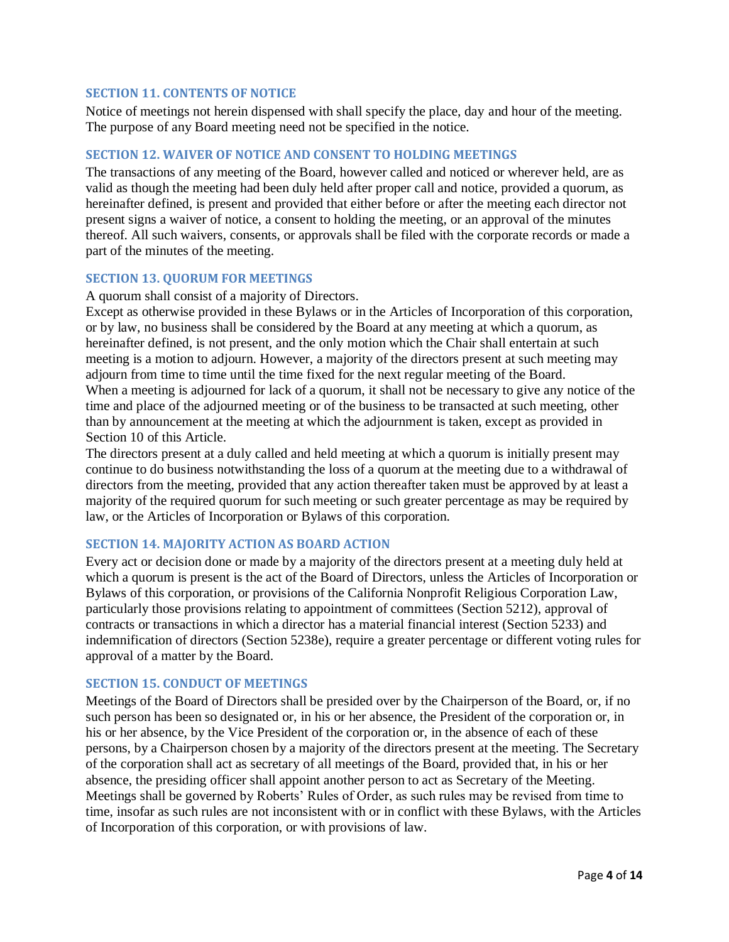### **SECTION 11. CONTENTS OF NOTICE**

Notice of meetings not herein dispensed with shall specify the place, day and hour of the meeting. The purpose of any Board meeting need not be specified in the notice.

### **SECTION 12. WAIVER OF NOTICE AND CONSENT TO HOLDING MEETINGS**

The transactions of any meeting of the Board, however called and noticed or wherever held, are as valid as though the meeting had been duly held after proper call and notice, provided a quorum, as hereinafter defined, is present and provided that either before or after the meeting each director not present signs a waiver of notice, a consent to holding the meeting, or an approval of the minutes thereof. All such waivers, consents, or approvals shall be filed with the corporate records or made a part of the minutes of the meeting.

### **SECTION 13. QUORUM FOR MEETINGS**

A quorum shall consist of a majority of Directors.

Except as otherwise provided in these Bylaws or in the Articles of Incorporation of this corporation, or by law, no business shall be considered by the Board at any meeting at which a quorum, as hereinafter defined, is not present, and the only motion which the Chair shall entertain at such meeting is a motion to adjourn. However, a majority of the directors present at such meeting may adjourn from time to time until the time fixed for the next regular meeting of the Board. When a meeting is adjourned for lack of a quorum, it shall not be necessary to give any notice of the time and place of the adjourned meeting or of the business to be transacted at such meeting, other than by announcement at the meeting at which the adjournment is taken, except as provided in Section 10 of this Article.

The directors present at a duly called and held meeting at which a quorum is initially present may continue to do business notwithstanding the loss of a quorum at the meeting due to a withdrawal of directors from the meeting, provided that any action thereafter taken must be approved by at least a majority of the required quorum for such meeting or such greater percentage as may be required by law, or the Articles of Incorporation or Bylaws of this corporation.

#### **SECTION 14. MAJORITY ACTION AS BOARD ACTION**

Every act or decision done or made by a majority of the directors present at a meeting duly held at which a quorum is present is the act of the Board of Directors, unless the Articles of Incorporation or Bylaws of this corporation, or provisions of the California Nonprofit Religious Corporation Law, particularly those provisions relating to appointment of committees (Section 5212), approval of contracts or transactions in which a director has a material financial interest (Section 5233) and indemnification of directors (Section 5238e), require a greater percentage or different voting rules for approval of a matter by the Board.

### **SECTION 15. CONDUCT OF MEETINGS**

Meetings of the Board of Directors shall be presided over by the Chairperson of the Board, or, if no such person has been so designated or, in his or her absence, the President of the corporation or, in his or her absence, by the Vice President of the corporation or, in the absence of each of these persons, by a Chairperson chosen by a majority of the directors present at the meeting. The Secretary of the corporation shall act as secretary of all meetings of the Board, provided that, in his or her absence, the presiding officer shall appoint another person to act as Secretary of the Meeting. Meetings shall be governed by Roberts' Rules of Order, as such rules may be revised from time to time, insofar as such rules are not inconsistent with or in conflict with these Bylaws, with the Articles of Incorporation of this corporation, or with provisions of law.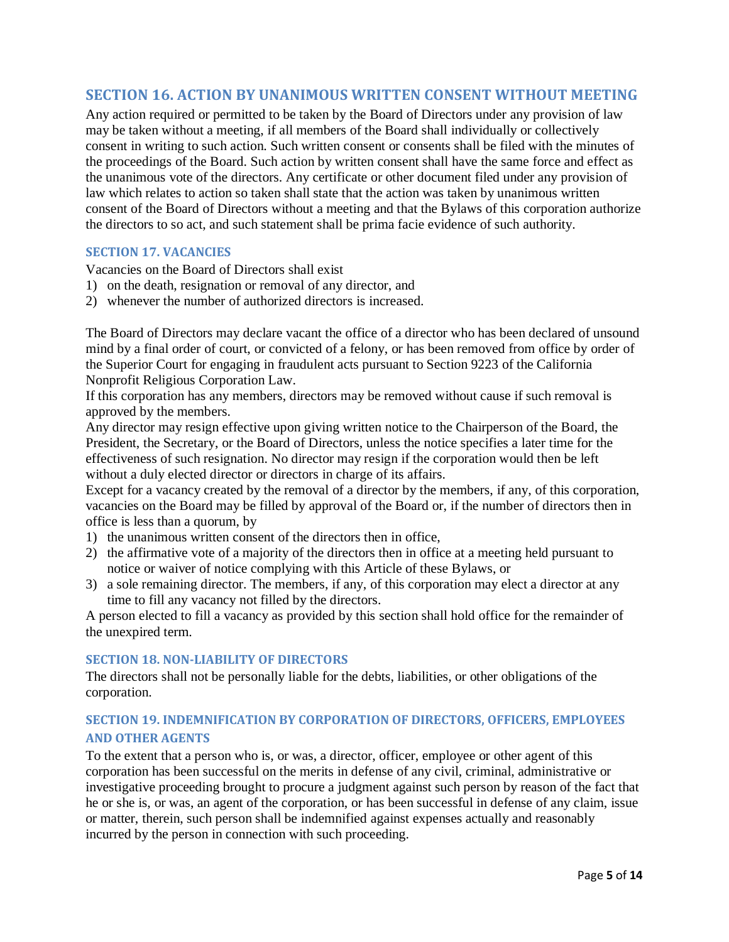## **SECTION 16. ACTION BY UNANIMOUS WRITTEN CONSENT WITHOUT MEETING**

Any action required or permitted to be taken by the Board of Directors under any provision of law may be taken without a meeting, if all members of the Board shall individually or collectively consent in writing to such action. Such written consent or consents shall be filed with the minutes of the proceedings of the Board. Such action by written consent shall have the same force and effect as the unanimous vote of the directors. Any certificate or other document filed under any provision of law which relates to action so taken shall state that the action was taken by unanimous written consent of the Board of Directors without a meeting and that the Bylaws of this corporation authorize the directors to so act, and such statement shall be prima facie evidence of such authority.

### **SECTION 17. VACANCIES**

Vacancies on the Board of Directors shall exist

- 1) on the death, resignation or removal of any director, and
- 2) whenever the number of authorized directors is increased.

The Board of Directors may declare vacant the office of a director who has been declared of unsound mind by a final order of court, or convicted of a felony, or has been removed from office by order of the Superior Court for engaging in fraudulent acts pursuant to Section 9223 of the California Nonprofit Religious Corporation Law.

If this corporation has any members, directors may be removed without cause if such removal is approved by the members.

Any director may resign effective upon giving written notice to the Chairperson of the Board, the President, the Secretary, or the Board of Directors, unless the notice specifies a later time for the effectiveness of such resignation. No director may resign if the corporation would then be left without a duly elected director or directors in charge of its affairs.

Except for a vacancy created by the removal of a director by the members, if any, of this corporation, vacancies on the Board may be filled by approval of the Board or, if the number of directors then in office is less than a quorum, by

- 1) the unanimous written consent of the directors then in office,
- 2) the affirmative vote of a majority of the directors then in office at a meeting held pursuant to notice or waiver of notice complying with this Article of these Bylaws, or
- 3) a sole remaining director. The members, if any, of this corporation may elect a director at any time to fill any vacancy not filled by the directors.

A person elected to fill a vacancy as provided by this section shall hold office for the remainder of the unexpired term.

#### **SECTION 18. NON-LIABILITY OF DIRECTORS**

The directors shall not be personally liable for the debts, liabilities, or other obligations of the corporation.

## **SECTION 19. INDEMNIFICATION BY CORPORATION OF DIRECTORS, OFFICERS, EMPLOYEES AND OTHER AGENTS**

To the extent that a person who is, or was, a director, officer, employee or other agent of this corporation has been successful on the merits in defense of any civil, criminal, administrative or investigative proceeding brought to procure a judgment against such person by reason of the fact that he or she is, or was, an agent of the corporation, or has been successful in defense of any claim, issue or matter, therein, such person shall be indemnified against expenses actually and reasonably incurred by the person in connection with such proceeding.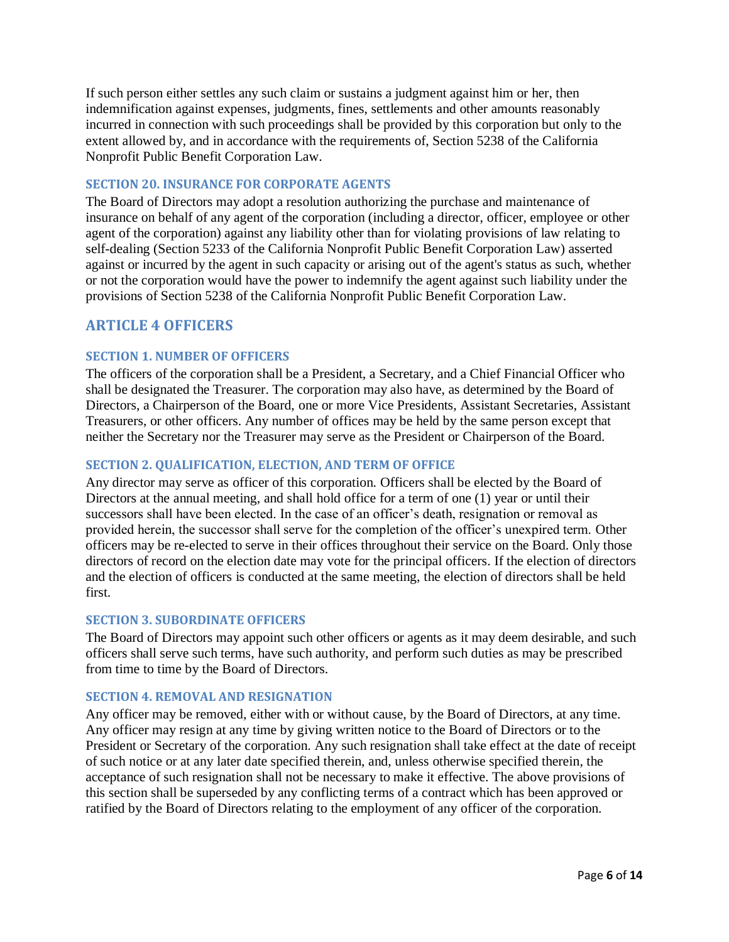If such person either settles any such claim or sustains a judgment against him or her, then indemnification against expenses, judgments, fines, settlements and other amounts reasonably incurred in connection with such proceedings shall be provided by this corporation but only to the extent allowed by, and in accordance with the requirements of, Section 5238 of the California Nonprofit Public Benefit Corporation Law.

### **SECTION 20. INSURANCE FOR CORPORATE AGENTS**

The Board of Directors may adopt a resolution authorizing the purchase and maintenance of insurance on behalf of any agent of the corporation (including a director, officer, employee or other agent of the corporation) against any liability other than for violating provisions of law relating to self-dealing (Section 5233 of the California Nonprofit Public Benefit Corporation Law) asserted against or incurred by the agent in such capacity or arising out of the agent's status as such, whether or not the corporation would have the power to indemnify the agent against such liability under the provisions of Section 5238 of the California Nonprofit Public Benefit Corporation Law.

## **ARTICLE 4 OFFICERS**

### **SECTION 1. NUMBER OF OFFICERS**

The officers of the corporation shall be a President, a Secretary, and a Chief Financial Officer who shall be designated the Treasurer. The corporation may also have, as determined by the Board of Directors, a Chairperson of the Board, one or more Vice Presidents, Assistant Secretaries, Assistant Treasurers, or other officers. Any number of offices may be held by the same person except that neither the Secretary nor the Treasurer may serve as the President or Chairperson of the Board.

### **SECTION 2. QUALIFICATION, ELECTION, AND TERM OF OFFICE**

Any director may serve as officer of this corporation. Officers shall be elected by the Board of Directors at the annual meeting, and shall hold office for a term of one (1) year or until their successors shall have been elected. In the case of an officer's death, resignation or removal as provided herein, the successor shall serve for the completion of the officer's unexpired term. Other officers may be re-elected to serve in their offices throughout their service on the Board. Only those directors of record on the election date may vote for the principal officers. If the election of directors and the election of officers is conducted at the same meeting, the election of directors shall be held first.

### **SECTION 3. SUBORDINATE OFFICERS**

The Board of Directors may appoint such other officers or agents as it may deem desirable, and such officers shall serve such terms, have such authority, and perform such duties as may be prescribed from time to time by the Board of Directors.

### **SECTION 4. REMOVAL AND RESIGNATION**

Any officer may be removed, either with or without cause, by the Board of Directors, at any time. Any officer may resign at any time by giving written notice to the Board of Directors or to the President or Secretary of the corporation. Any such resignation shall take effect at the date of receipt of such notice or at any later date specified therein, and, unless otherwise specified therein, the acceptance of such resignation shall not be necessary to make it effective. The above provisions of this section shall be superseded by any conflicting terms of a contract which has been approved or ratified by the Board of Directors relating to the employment of any officer of the corporation.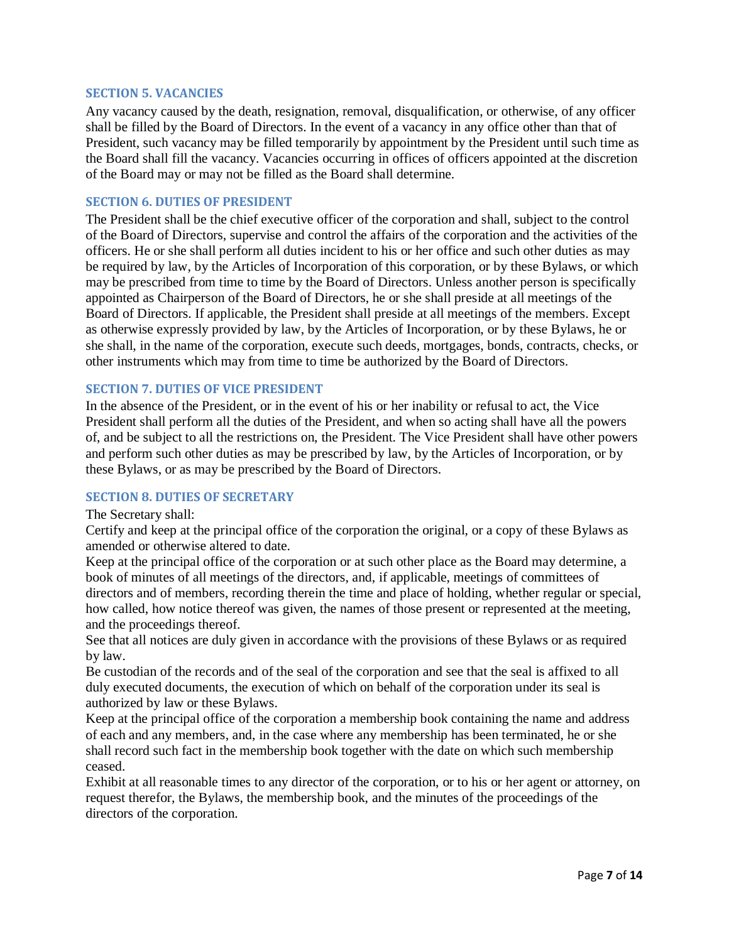### **SECTION 5. VACANCIES**

Any vacancy caused by the death, resignation, removal, disqualification, or otherwise, of any officer shall be filled by the Board of Directors. In the event of a vacancy in any office other than that of President, such vacancy may be filled temporarily by appointment by the President until such time as the Board shall fill the vacancy. Vacancies occurring in offices of officers appointed at the discretion of the Board may or may not be filled as the Board shall determine.

#### **SECTION 6. DUTIES OF PRESIDENT**

The President shall be the chief executive officer of the corporation and shall, subject to the control of the Board of Directors, supervise and control the affairs of the corporation and the activities of the officers. He or she shall perform all duties incident to his or her office and such other duties as may be required by law, by the Articles of Incorporation of this corporation, or by these Bylaws, or which may be prescribed from time to time by the Board of Directors. Unless another person is specifically appointed as Chairperson of the Board of Directors, he or she shall preside at all meetings of the Board of Directors. If applicable, the President shall preside at all meetings of the members. Except as otherwise expressly provided by law, by the Articles of Incorporation, or by these Bylaws, he or she shall, in the name of the corporation, execute such deeds, mortgages, bonds, contracts, checks, or other instruments which may from time to time be authorized by the Board of Directors.

### **SECTION 7. DUTIES OF VICE PRESIDENT**

In the absence of the President, or in the event of his or her inability or refusal to act, the Vice President shall perform all the duties of the President, and when so acting shall have all the powers of, and be subject to all the restrictions on, the President. The Vice President shall have other powers and perform such other duties as may be prescribed by law, by the Articles of Incorporation, or by these Bylaws, or as may be prescribed by the Board of Directors.

### **SECTION 8. DUTIES OF SECRETARY**

The Secretary shall:

Certify and keep at the principal office of the corporation the original, or a copy of these Bylaws as amended or otherwise altered to date.

Keep at the principal office of the corporation or at such other place as the Board may determine, a book of minutes of all meetings of the directors, and, if applicable, meetings of committees of directors and of members, recording therein the time and place of holding, whether regular or special, how called, how notice thereof was given, the names of those present or represented at the meeting, and the proceedings thereof.

See that all notices are duly given in accordance with the provisions of these Bylaws or as required by law.

Be custodian of the records and of the seal of the corporation and see that the seal is affixed to all duly executed documents, the execution of which on behalf of the corporation under its seal is authorized by law or these Bylaws.

Keep at the principal office of the corporation a membership book containing the name and address of each and any members, and, in the case where any membership has been terminated, he or she shall record such fact in the membership book together with the date on which such membership ceased.

Exhibit at all reasonable times to any director of the corporation, or to his or her agent or attorney, on request therefor, the Bylaws, the membership book, and the minutes of the proceedings of the directors of the corporation.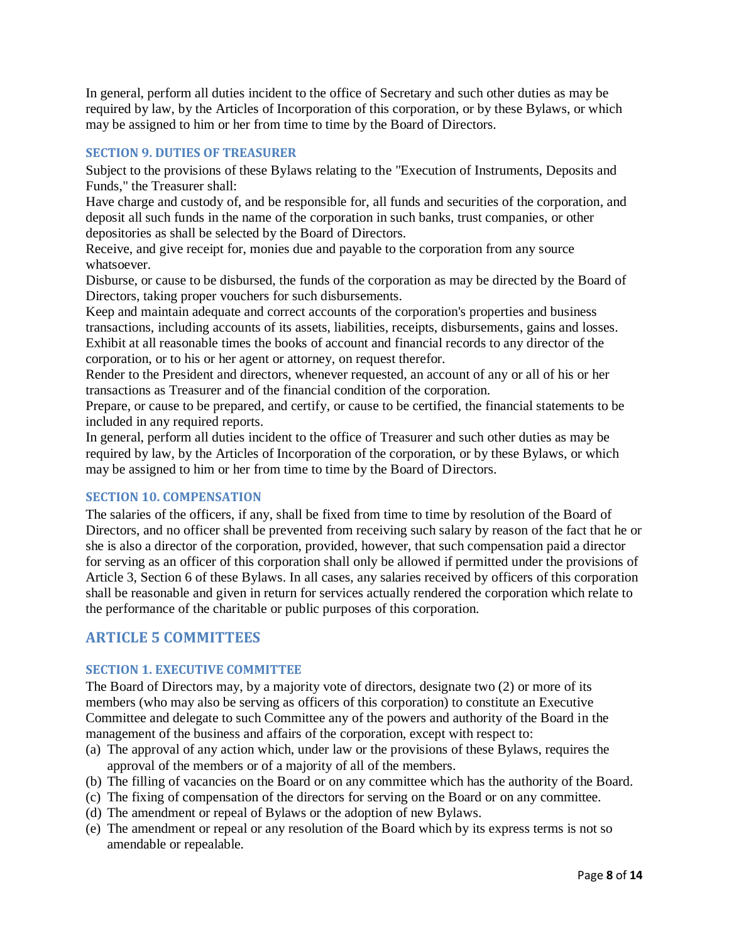In general, perform all duties incident to the office of Secretary and such other duties as may be required by law, by the Articles of Incorporation of this corporation, or by these Bylaws, or which may be assigned to him or her from time to time by the Board of Directors.

### **SECTION 9. DUTIES OF TREASURER**

Subject to the provisions of these Bylaws relating to the "Execution of Instruments, Deposits and Funds," the Treasurer shall:

Have charge and custody of, and be responsible for, all funds and securities of the corporation, and deposit all such funds in the name of the corporation in such banks, trust companies, or other depositories as shall be selected by the Board of Directors.

Receive, and give receipt for, monies due and payable to the corporation from any source whatsoever.

Disburse, or cause to be disbursed, the funds of the corporation as may be directed by the Board of Directors, taking proper vouchers for such disbursements.

Keep and maintain adequate and correct accounts of the corporation's properties and business transactions, including accounts of its assets, liabilities, receipts, disbursements, gains and losses. Exhibit at all reasonable times the books of account and financial records to any director of the corporation, or to his or her agent or attorney, on request therefor.

Render to the President and directors, whenever requested, an account of any or all of his or her transactions as Treasurer and of the financial condition of the corporation.

Prepare, or cause to be prepared, and certify, or cause to be certified, the financial statements to be included in any required reports.

In general, perform all duties incident to the office of Treasurer and such other duties as may be required by law, by the Articles of Incorporation of the corporation, or by these Bylaws, or which may be assigned to him or her from time to time by the Board of Directors.

### **SECTION 10. COMPENSATION**

The salaries of the officers, if any, shall be fixed from time to time by resolution of the Board of Directors, and no officer shall be prevented from receiving such salary by reason of the fact that he or she is also a director of the corporation, provided, however, that such compensation paid a director for serving as an officer of this corporation shall only be allowed if permitted under the provisions of Article 3, Section 6 of these Bylaws. In all cases, any salaries received by officers of this corporation shall be reasonable and given in return for services actually rendered the corporation which relate to the performance of the charitable or public purposes of this corporation.

## **ARTICLE 5 COMMITTEES**

## **SECTION 1. EXECUTIVE COMMITTEE**

The Board of Directors may, by a majority vote of directors, designate two (2) or more of its members (who may also be serving as officers of this corporation) to constitute an Executive Committee and delegate to such Committee any of the powers and authority of the Board in the management of the business and affairs of the corporation, except with respect to:

- (a) The approval of any action which, under law or the provisions of these Bylaws, requires the approval of the members or of a majority of all of the members.
- (b) The filling of vacancies on the Board or on any committee which has the authority of the Board.
- (c) The fixing of compensation of the directors for serving on the Board or on any committee.
- (d) The amendment or repeal of Bylaws or the adoption of new Bylaws.
- (e) The amendment or repeal or any resolution of the Board which by its express terms is not so amendable or repealable.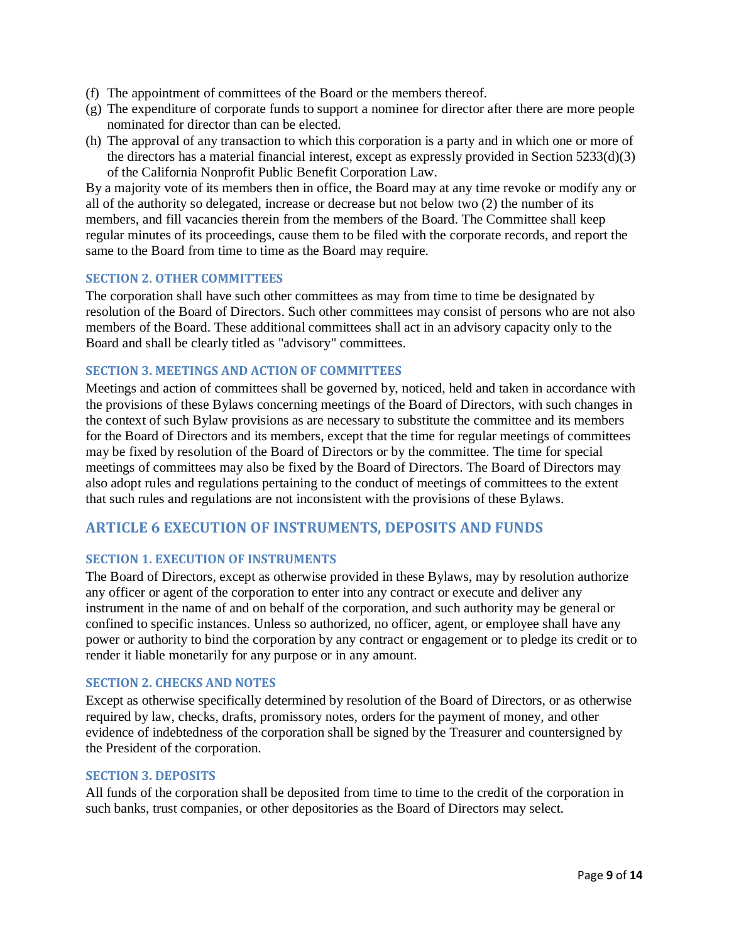- (f) The appointment of committees of the Board or the members thereof.
- (g) The expenditure of corporate funds to support a nominee for director after there are more people nominated for director than can be elected.
- (h) The approval of any transaction to which this corporation is a party and in which one or more of the directors has a material financial interest, except as expressly provided in Section 5233(d)(3) of the California Nonprofit Public Benefit Corporation Law.

By a majority vote of its members then in office, the Board may at any time revoke or modify any or all of the authority so delegated, increase or decrease but not below two (2) the number of its members, and fill vacancies therein from the members of the Board. The Committee shall keep regular minutes of its proceedings, cause them to be filed with the corporate records, and report the same to the Board from time to time as the Board may require.

### **SECTION 2. OTHER COMMITTEES**

The corporation shall have such other committees as may from time to time be designated by resolution of the Board of Directors. Such other committees may consist of persons who are not also members of the Board. These additional committees shall act in an advisory capacity only to the Board and shall be clearly titled as "advisory" committees.

### **SECTION 3. MEETINGS AND ACTION OF COMMITTEES**

Meetings and action of committees shall be governed by, noticed, held and taken in accordance with the provisions of these Bylaws concerning meetings of the Board of Directors, with such changes in the context of such Bylaw provisions as are necessary to substitute the committee and its members for the Board of Directors and its members, except that the time for regular meetings of committees may be fixed by resolution of the Board of Directors or by the committee. The time for special meetings of committees may also be fixed by the Board of Directors. The Board of Directors may also adopt rules and regulations pertaining to the conduct of meetings of committees to the extent that such rules and regulations are not inconsistent with the provisions of these Bylaws.

## **ARTICLE 6 EXECUTION OF INSTRUMENTS, DEPOSITS AND FUNDS**

### **SECTION 1. EXECUTION OF INSTRUMENTS**

The Board of Directors, except as otherwise provided in these Bylaws, may by resolution authorize any officer or agent of the corporation to enter into any contract or execute and deliver any instrument in the name of and on behalf of the corporation, and such authority may be general or confined to specific instances. Unless so authorized, no officer, agent, or employee shall have any power or authority to bind the corporation by any contract or engagement or to pledge its credit or to render it liable monetarily for any purpose or in any amount.

### **SECTION 2. CHECKS AND NOTES**

Except as otherwise specifically determined by resolution of the Board of Directors, or as otherwise required by law, checks, drafts, promissory notes, orders for the payment of money, and other evidence of indebtedness of the corporation shall be signed by the Treasurer and countersigned by the President of the corporation.

#### **SECTION 3. DEPOSITS**

All funds of the corporation shall be deposited from time to time to the credit of the corporation in such banks, trust companies, or other depositories as the Board of Directors may select.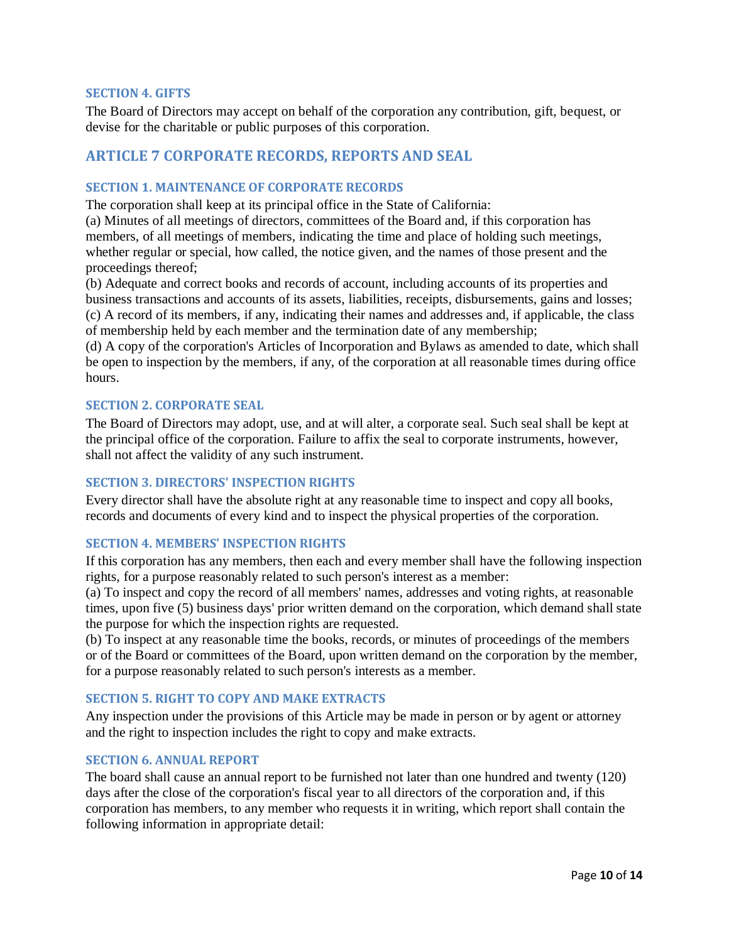### **SECTION 4. GIFTS**

The Board of Directors may accept on behalf of the corporation any contribution, gift, bequest, or devise for the charitable or public purposes of this corporation.

### **ARTICLE 7 CORPORATE RECORDS, REPORTS AND SEAL**

### **SECTION 1. MAINTENANCE OF CORPORATE RECORDS**

The corporation shall keep at its principal office in the State of California:

(a) Minutes of all meetings of directors, committees of the Board and, if this corporation has members, of all meetings of members, indicating the time and place of holding such meetings, whether regular or special, how called, the notice given, and the names of those present and the proceedings thereof;

(b) Adequate and correct books and records of account, including accounts of its properties and business transactions and accounts of its assets, liabilities, receipts, disbursements, gains and losses; (c) A record of its members, if any, indicating their names and addresses and, if applicable, the class of membership held by each member and the termination date of any membership;

(d) A copy of the corporation's Articles of Incorporation and Bylaws as amended to date, which shall be open to inspection by the members, if any, of the corporation at all reasonable times during office hours.

#### **SECTION 2. CORPORATE SEAL**

The Board of Directors may adopt, use, and at will alter, a corporate seal. Such seal shall be kept at the principal office of the corporation. Failure to affix the seal to corporate instruments, however, shall not affect the validity of any such instrument.

### **SECTION 3. DIRECTORS' INSPECTION RIGHTS**

Every director shall have the absolute right at any reasonable time to inspect and copy all books, records and documents of every kind and to inspect the physical properties of the corporation.

### **SECTION 4. MEMBERS' INSPECTION RIGHTS**

If this corporation has any members, then each and every member shall have the following inspection rights, for a purpose reasonably related to such person's interest as a member:

(a) To inspect and copy the record of all members' names, addresses and voting rights, at reasonable times, upon five (5) business days' prior written demand on the corporation, which demand shall state the purpose for which the inspection rights are requested.

(b) To inspect at any reasonable time the books, records, or minutes of proceedings of the members or of the Board or committees of the Board, upon written demand on the corporation by the member, for a purpose reasonably related to such person's interests as a member.

### **SECTION 5. RIGHT TO COPY AND MAKE EXTRACTS**

Any inspection under the provisions of this Article may be made in person or by agent or attorney and the right to inspection includes the right to copy and make extracts.

### **SECTION 6. ANNUAL REPORT**

The board shall cause an annual report to be furnished not later than one hundred and twenty (120) days after the close of the corporation's fiscal year to all directors of the corporation and, if this corporation has members, to any member who requests it in writing, which report shall contain the following information in appropriate detail: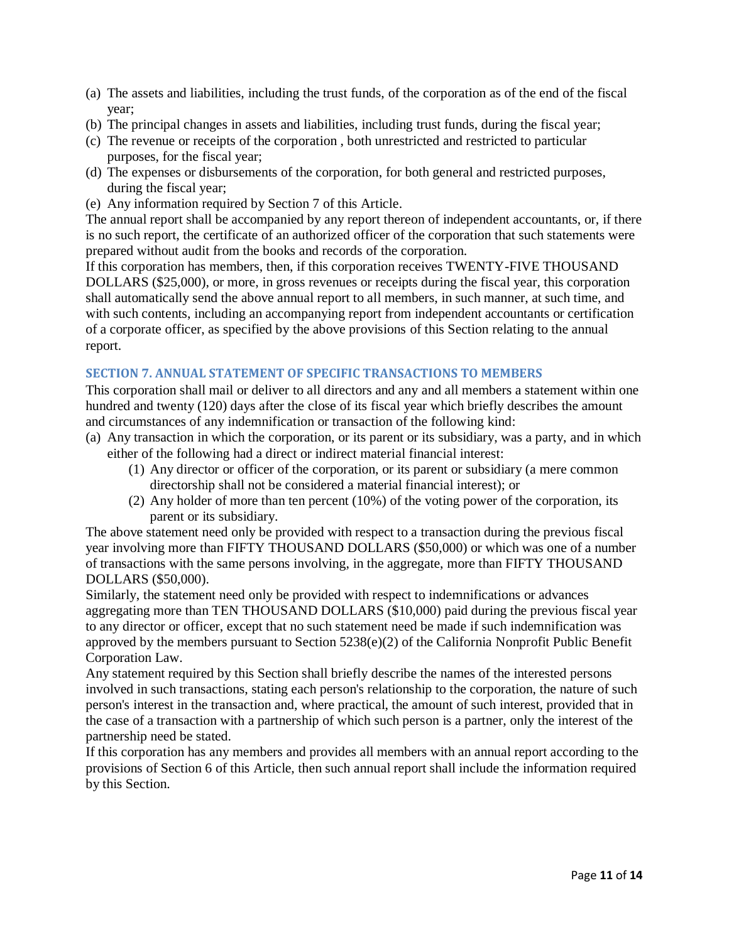- (a) The assets and liabilities, including the trust funds, of the corporation as of the end of the fiscal year;
- (b) The principal changes in assets and liabilities, including trust funds, during the fiscal year;
- (c) The revenue or receipts of the corporation , both unrestricted and restricted to particular purposes, for the fiscal year;
- (d) The expenses or disbursements of the corporation, for both general and restricted purposes, during the fiscal year;
- (e) Any information required by Section 7 of this Article.

The annual report shall be accompanied by any report thereon of independent accountants, or, if there is no such report, the certificate of an authorized officer of the corporation that such statements were prepared without audit from the books and records of the corporation.

If this corporation has members, then, if this corporation receives TWENTY-FIVE THOUSAND DOLLARS (\$25,000), or more, in gross revenues or receipts during the fiscal year, this corporation shall automatically send the above annual report to all members, in such manner, at such time, and with such contents, including an accompanying report from independent accountants or certification of a corporate officer, as specified by the above provisions of this Section relating to the annual report.

### **SECTION 7. ANNUAL STATEMENT OF SPECIFIC TRANSACTIONS TO MEMBERS**

This corporation shall mail or deliver to all directors and any and all members a statement within one hundred and twenty (120) days after the close of its fiscal year which briefly describes the amount and circumstances of any indemnification or transaction of the following kind:

- (a) Any transaction in which the corporation, or its parent or its subsidiary, was a party, and in which either of the following had a direct or indirect material financial interest:
	- (1) Any director or officer of the corporation, or its parent or subsidiary (a mere common directorship shall not be considered a material financial interest); or
	- (2) Any holder of more than ten percent (10%) of the voting power of the corporation, its parent or its subsidiary.

The above statement need only be provided with respect to a transaction during the previous fiscal year involving more than FIFTY THOUSAND DOLLARS (\$50,000) or which was one of a number of transactions with the same persons involving, in the aggregate, more than FIFTY THOUSAND DOLLARS (\$50,000).

Similarly, the statement need only be provided with respect to indemnifications or advances aggregating more than TEN THOUSAND DOLLARS (\$10,000) paid during the previous fiscal year to any director or officer, except that no such statement need be made if such indemnification was approved by the members pursuant to Section  $5238(e)(2)$  of the California Nonprofit Public Benefit Corporation Law.

Any statement required by this Section shall briefly describe the names of the interested persons involved in such transactions, stating each person's relationship to the corporation, the nature of such person's interest in the transaction and, where practical, the amount of such interest, provided that in the case of a transaction with a partnership of which such person is a partner, only the interest of the partnership need be stated.

If this corporation has any members and provides all members with an annual report according to the provisions of Section 6 of this Article, then such annual report shall include the information required by this Section.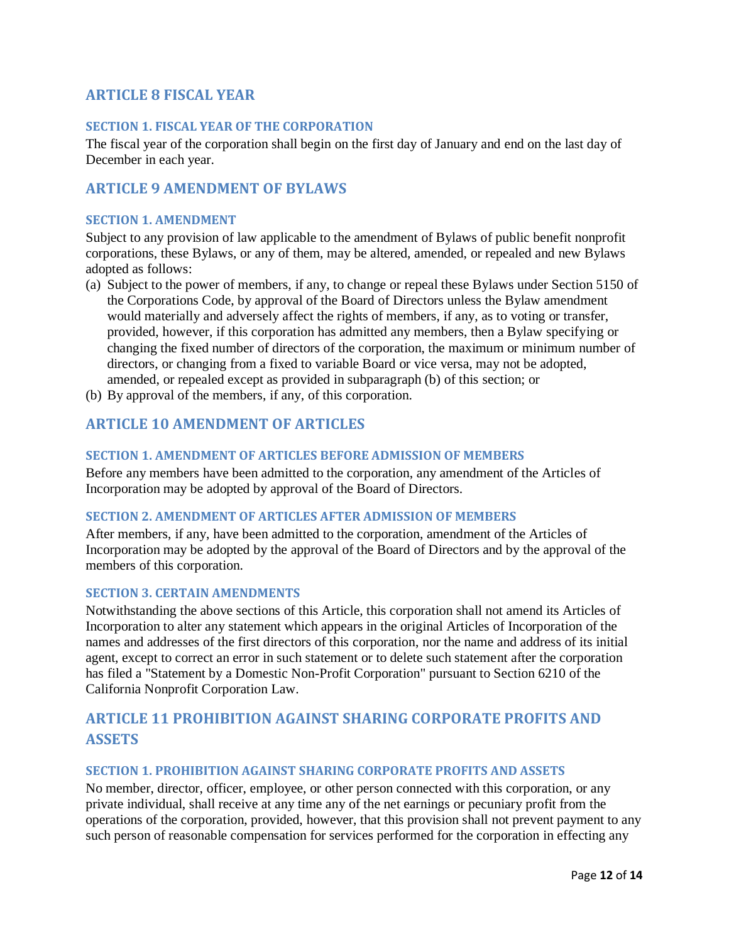## **ARTICLE 8 FISCAL YEAR**

### **SECTION 1. FISCAL YEAR OF THE CORPORATION**

The fiscal year of the corporation shall begin on the first day of January and end on the last day of December in each year.

## **ARTICLE 9 AMENDMENT OF BYLAWS**

### **SECTION 1. AMENDMENT**

Subject to any provision of law applicable to the amendment of Bylaws of public benefit nonprofit corporations, these Bylaws, or any of them, may be altered, amended, or repealed and new Bylaws adopted as follows:

- (a) Subject to the power of members, if any, to change or repeal these Bylaws under Section 5150 of the Corporations Code, by approval of the Board of Directors unless the Bylaw amendment would materially and adversely affect the rights of members, if any, as to voting or transfer, provided, however, if this corporation has admitted any members, then a Bylaw specifying or changing the fixed number of directors of the corporation, the maximum or minimum number of directors, or changing from a fixed to variable Board or vice versa, may not be adopted, amended, or repealed except as provided in subparagraph (b) of this section; or
- (b) By approval of the members, if any, of this corporation.

## **ARTICLE 10 AMENDMENT OF ARTICLES**

### **SECTION 1. AMENDMENT OF ARTICLES BEFORE ADMISSION OF MEMBERS**

Before any members have been admitted to the corporation, any amendment of the Articles of Incorporation may be adopted by approval of the Board of Directors.

### **SECTION 2. AMENDMENT OF ARTICLES AFTER ADMISSION OF MEMBERS**

After members, if any, have been admitted to the corporation, amendment of the Articles of Incorporation may be adopted by the approval of the Board of Directors and by the approval of the members of this corporation.

### **SECTION 3. CERTAIN AMENDMENTS**

Notwithstanding the above sections of this Article, this corporation shall not amend its Articles of Incorporation to alter any statement which appears in the original Articles of Incorporation of the names and addresses of the first directors of this corporation, nor the name and address of its initial agent, except to correct an error in such statement or to delete such statement after the corporation has filed a "Statement by a Domestic Non-Profit Corporation" pursuant to Section 6210 of the California Nonprofit Corporation Law.

# **ARTICLE 11 PROHIBITION AGAINST SHARING CORPORATE PROFITS AND ASSETS**

### **SECTION 1. PROHIBITION AGAINST SHARING CORPORATE PROFITS AND ASSETS**

No member, director, officer, employee, or other person connected with this corporation, or any private individual, shall receive at any time any of the net earnings or pecuniary profit from the operations of the corporation, provided, however, that this provision shall not prevent payment to any such person of reasonable compensation for services performed for the corporation in effecting any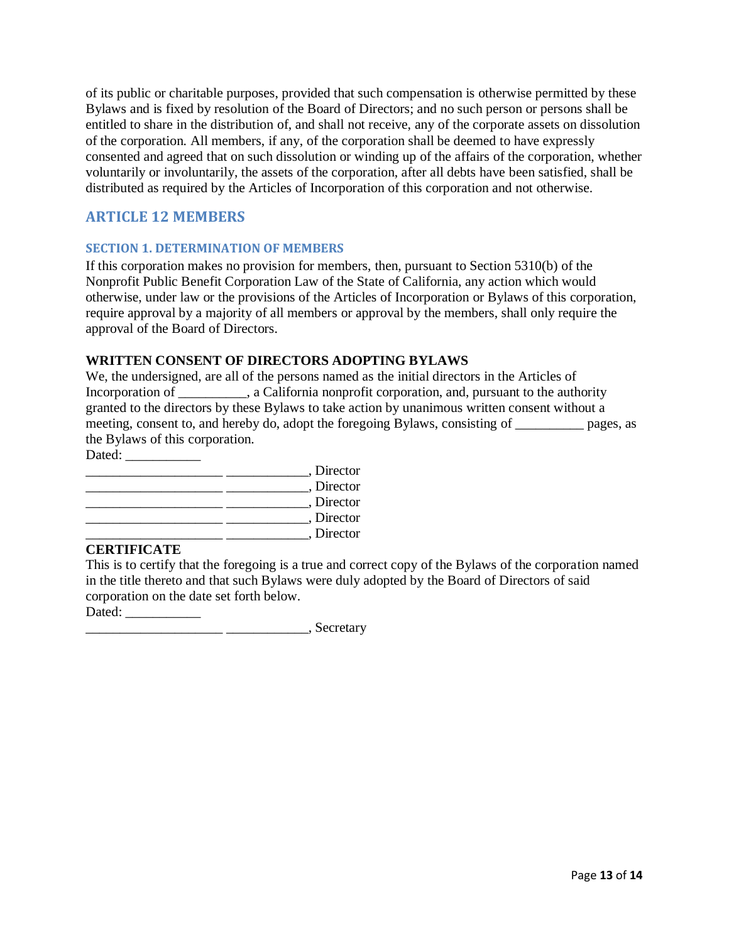of its public or charitable purposes, provided that such compensation is otherwise permitted by these Bylaws and is fixed by resolution of the Board of Directors; and no such person or persons shall be entitled to share in the distribution of, and shall not receive, any of the corporate assets on dissolution of the corporation. All members, if any, of the corporation shall be deemed to have expressly consented and agreed that on such dissolution or winding up of the affairs of the corporation, whether voluntarily or involuntarily, the assets of the corporation, after all debts have been satisfied, shall be distributed as required by the Articles of Incorporation of this corporation and not otherwise.

## **ARTICLE 12 MEMBERS**

### **SECTION 1. DETERMINATION OF MEMBERS**

If this corporation makes no provision for members, then, pursuant to Section 5310(b) of the Nonprofit Public Benefit Corporation Law of the State of California, any action which would otherwise, under law or the provisions of the Articles of Incorporation or Bylaws of this corporation, require approval by a majority of all members or approval by the members, shall only require the approval of the Board of Directors.

### **WRITTEN CONSENT OF DIRECTORS ADOPTING BYLAWS**

We, the undersigned, are all of the persons named as the initial directors in the Articles of Incorporation of \_\_\_\_\_\_\_\_\_\_, a California nonprofit corporation, and, pursuant to the authority granted to the directors by these Bylaws to take action by unanimous written consent without a meeting, consent to, and hereby do, adopt the foregoing Bylaws, consisting of \_\_\_\_\_\_\_\_\_\_ pages, as the Bylaws of this corporation.

| Dated: |  |
|--------|--|
|        |  |

| Director   |
|------------|
| , Director |
| Director   |
| , Director |
| Director   |

## **CERTIFICATE**

This is to certify that the foregoing is a true and correct copy of the Bylaws of the corporation named in the title thereto and that such Bylaws were duly adopted by the Board of Directors of said corporation on the date set forth below. Dated: \_\_\_\_\_\_\_\_\_\_\_

\_\_\_\_\_\_\_\_\_\_\_\_\_\_\_\_\_\_\_\_ \_\_\_\_\_\_\_\_\_\_\_\_, Secretary